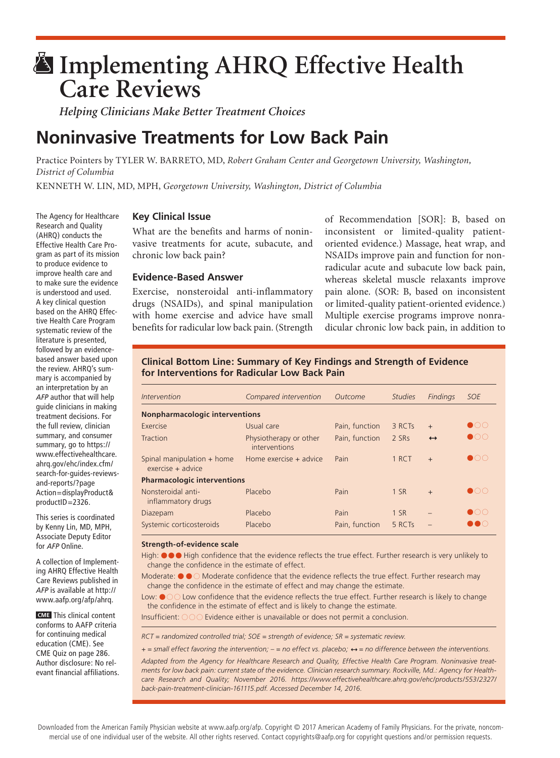# **Implementing AHRQ Effective Health Care Reviews**

*Helping Clinicians Make Better Treatment Choices*

# **Noninvasive Treatments for Low Back Pain**

Practice Pointers by TYLER W. BARRETO, MD, *Robert Graham Center and Georgetown University, Washington, District of Columbia* 

KENNETH W. LIN, MD, MPH, *Georgetown University, Washington, District of Columbia*

# **Key Clinical Issue**

What are the benefits and harms of noninvasive treatments for acute, subacute, and chronic low back pain?

# **Evidence-Based Answer**

Exercise, nonsteroidal anti-inflammatory drugs (NSAIDs), and spinal manipulation with home exercise and advice have small benefits for radicular low back pain. (Strength of Recommendation [SOR]: B, based on inconsistent or limited-quality patientoriented evidence.) Massage, heat wrap, and NSAIDs improve pain and function for nonradicular acute and subacute low back pain, whereas skeletal muscle relaxants improve pain alone. (SOR: B, based on inconsistent or limited-quality patient-oriented evidence.) Multiple exercise programs improve nonradicular chronic low back pain, in addition to

# **Clinical Bottom Line: Summary of Key Findings and Strength of Evidence for Interventions for Radicular Low Back Pain**

| Intervention                                      | Compared intervention                   | Outcome        | <b>Studies</b> | <b>Findings</b>   | <b>SOE</b>                |  |  |
|---------------------------------------------------|-----------------------------------------|----------------|----------------|-------------------|---------------------------|--|--|
| <b>Nonpharmacologic interventions</b>             |                                         |                |                |                   |                           |  |  |
| Exercise                                          | Usual care                              | Pain, function | 3 RCTs         | $+$               | $\bullet$ OC              |  |  |
| Traction                                          | Physiotherapy or other<br>interventions | Pain, function | 2 SRs          | $\leftrightarrow$ | $\bullet$ $\circ$ $\circ$ |  |  |
| Spinal manipulation + home<br>$exercise + advice$ | Home exercise $+$ advice                | Pain           | 1 RCT          | $+$               | $\bullet$ OC              |  |  |
| <b>Pharmacologic interventions</b>                |                                         |                |                |                   |                           |  |  |
| Nonsteroidal anti-<br>inflammatory drugs          | Placebo                                 | Pain           | $1$ SR         | $+$               | $\bullet$                 |  |  |
| Diazepam                                          | Placebo                                 | Pain           | $1$ SR         |                   | $\bullet$ OO              |  |  |
| Systemic corticosteroids                          | Placebo                                 | Pain, function | 5 RCTs         |                   |                           |  |  |

#### **Strength-of-evidence scale**

High:  $\bullet \bullet \bullet$  High confidence that the evidence reflects the true effect. Further research is very unlikely to change the confidence in the estimate of effect.

Moderate:  $\bullet \bullet \circ$  Moderate confidence that the evidence reflects the true effect. Further research may change the confidence in the estimate of effect and may change the estimate.

Low:  $\bullet$   $\circ$  Low confidence that the evidence reflects the true effect. Further research is likely to change the confidence in the estimate of effect and is likely to change the estimate.

Insufficient:  $\circ \circ \circ$  Evidence either is unavailable or does not permit a conclusion.

*RCT = randomized controlled trial; SOE = strength of evidence; SR = systematic review.*

*+ = small effect favoring the intervention; – = no effect vs. placebo; = no difference between the interventions.*

*Adapted from the Agency for Healthcare Research and Quality, Effective Health Care Program. Noninvasive treatments for low back pain: current state of the evidence. Clinician research summary. Rockville, Md.: Agency for Healthcare Research and Quality; November 2016. https://www.effectivehealthcare.ahrq.gov/ehc/products/553/2327/* back-pain-treatment-clinician-161115.pdf. Accessed December 14, 2016.

The Agency for Healthcare Research and Quality (AHRQ) conducts the Effective Health Care Program as part of its mission to produce evidence to improve health care and to make sure the evidence is understood and used. A key clinical question based on the AHRQ Effective Health Care Program systematic review of the literature is presented, followed by an evidencebased answer based upon the review. AHRQ's summary is accompanied by an interpretation by an *AFP* author that will help guide clinicians in making treatment decisions. For the full review, clinician summary, and consumer summary, go to https:// www.effectivehealthcare. ahrq.gov/ehc/index.cfm/ search-for-guides-reviewsand-reports/?page Action=displayProduct& productID=2326.

This series is coordinated by Kenny Lin, MD, MPH, Associate Deputy Editor for *AFP* Online.

A collection of Implementing AHRQ Effective Health Care Reviews published in *AFP* is available at http:// www.aafp.org/afp/ahrq.

**CME** This clinical content conforms to AAFP criteria for continuing medical education (CME). See CME Quiz on page 286. Author disclosure: No relevant financial affiliations.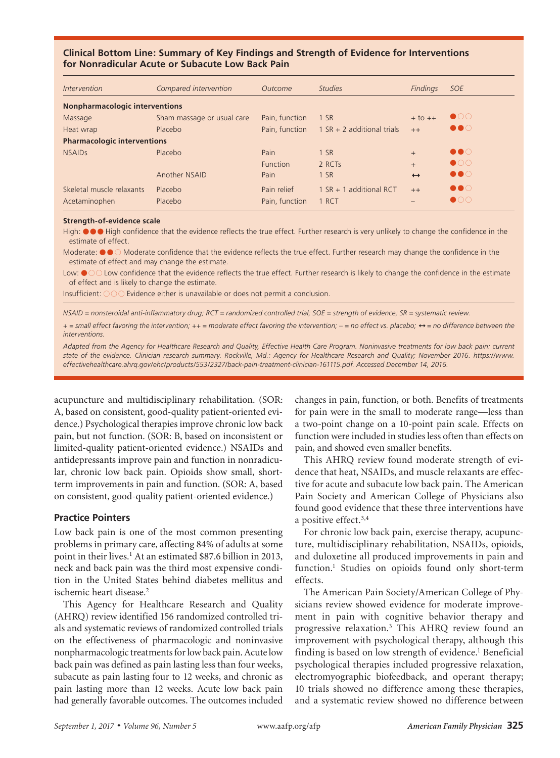# **Clinical Bottom Line: Summary of Key Findings and Strength of Evidence for Interventions for Nonradicular Acute or Subacute Low Back Pain**

| <i><u><b>Intervention</b></u></i>     | Compared intervention      | Outcome        | <b>Studies</b>               | Findings          | <b>SOE</b>            |  |
|---------------------------------------|----------------------------|----------------|------------------------------|-------------------|-----------------------|--|
| <b>Nonpharmacologic interventions</b> |                            |                |                              |                   |                       |  |
| Massage                               | Sham massage or usual care | Pain, function | 1 SR                         | $+$ to $++$       | $\bullet$ 00          |  |
| Heat wrap                             | Placebo                    | Pain, function | $1 SR + 2$ additional trials | $++$              | $\bullet\bullet\circ$ |  |
| <b>Pharmacologic interventions</b>    |                            |                |                              |                   |                       |  |
| <b>NSAIDs</b>                         | Placebo                    | Pain           | 1 S R                        | $+$               | $\bullet\bullet\circ$ |  |
|                                       |                            | Function       | 2 RCTs                       | $+$               | $\bullet$ 00          |  |
|                                       | Another NSAID              | Pain           | 1 S R                        | $\leftrightarrow$ | $\bullet\bullet\circ$ |  |
| Skeletal muscle relaxants             | Placebo                    | Pain relief    | 1 SR + 1 additional RCT      | $++$              | $\bullet\bullet\circ$ |  |
| Acetaminophen                         | Placebo                    | Pain, function | 1 RCT                        |                   | $\bullet$ 00          |  |

#### **Strength-of-evidence scale**

High:  $\bullet\bullet\bullet$  High confidence that the evidence reflects the true effect. Further research is very unlikely to change the confidence in the estimate of effect.

Moderate:  $\bullet \bullet \circ$  Moderate confidence that the evidence reflects the true effect. Further research may change the confidence in the estimate of effect and may change the estimate.

Low:  $\bullet$   $\circ$   $\circ$  Low confidence that the evidence reflects the true effect. Further research is likely to change the confidence in the estimate of effect and is likely to change the estimate.

Insufficient:  $\bigcirc \bigcirc \bigcirc$  Evidence either is unavailable or does not permit a conclusion.

*NSAID = nonsteroidal anti-inflammatory drug; RCT = randomized controlled trial; SOE = strength of evidence; SR = systematic review.*

*+* = small effect favoring the intervention; ++ = moderate effect favoring the intervention; - = no effect vs. placebo;  $\leftrightarrow$  = no difference between the *interventions.*

Adapted from the Agency for Healthcare Research and Quality, Effective Health Care Program. Noninvasive treatments for low back pain: current *state of the evidence. Clinician research summary. Rockville, Md.: Agency for Healthcare Research and Quality; November 2016. https://www. effectivehealthcare.ahrq.gov/ehc/products/553/2327/back-pain-treatment-clinician-161115.pdf. Accessed December 14, 2016.* 

acupuncture and multidisciplinary rehabilitation. (SOR: A, based on consistent, good-quality patient-oriented evidence.) Psychological therapies improve chronic low back pain, but not function. (SOR: B, based on inconsistent or limited-quality patient-oriented evidence.) NSAIDs and antidepressants improve pain and function in nonradicular, chronic low back pain. Opioids show small, shortterm improvements in pain and function. (SOR: A, based on consistent, good-quality patient-oriented evidence.)

# **Practice Pointers**

Low back pain is one of the most common presenting problems in primary care, affecting 84% of adults at some point in their lives.<sup>1</sup> At an estimated \$87.6 billion in 2013, neck and back pain was the third most expensive condition in the United States behind diabetes mellitus and ischemic heart disease.<sup>2</sup>

This Agency for Healthcare Research and Quality (AHRQ) review identified 156 randomized controlled trials and systematic reviews of randomized controlled trials on the effectiveness of pharmacologic and noninvasive nonpharmacologic treatments for low back pain. Acute low back pain was defined as pain lasting less than four weeks, subacute as pain lasting four to 12 weeks, and chronic as pain lasting more than 12 weeks. Acute low back pain had generally favorable outcomes. The outcomes included

changes in pain, function, or both. Benefits of treatments for pain were in the small to moderate range—less than a two-point change on a 10-point pain scale. Effects on function were included in studies less often than effects on pain, and showed even smaller benefits.

**AHRQ**

This AHRQ review found moderate strength of evidence that heat, NSAIDs, and muscle relaxants are effective for acute and subacute low back pain. The American Pain Society and American College of Physicians also found good evidence that these three interventions have a positive effect.<sup>3,4</sup>

For chronic low back pain, exercise therapy, acupuncture, multidisciplinary rehabilitation, NSAIDs, opioids, and duloxetine all produced improvements in pain and function.1 Studies on opioids found only short-term effects.

The American Pain Society/American College of Physicians review showed evidence for moderate improvement in pain with cognitive behavior therapy and progressive relaxation.3 This AHRQ review found an improvement with psychological therapy, although this finding is based on low strength of evidence.<sup>1</sup> Beneficial psychological therapies included progressive relaxation, electromyographic biofeedback, and operant therapy; 10 trials showed no difference among these therapies, and a systematic review showed no difference between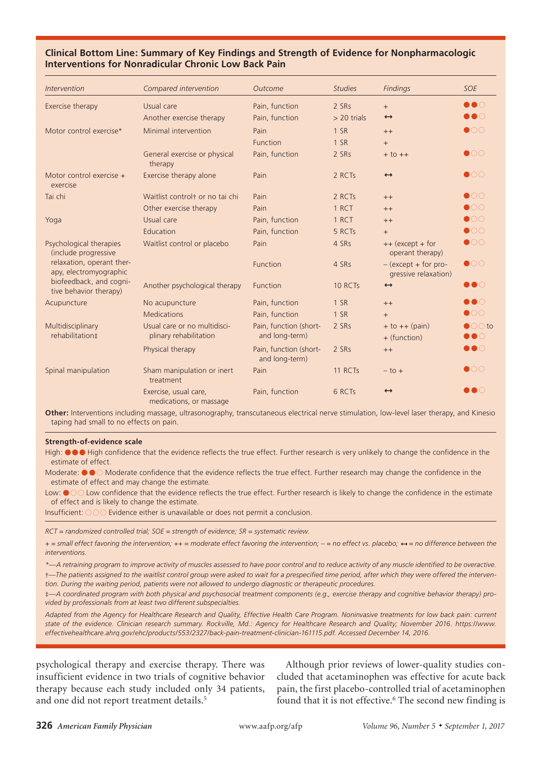# **AHRQ Clinical Bottom Line: Summary of Key Findings and Strength of Evidence for Nonpharmacologic Interventions for Nonradicular Chronic Low Back Pain**

| <b>Intervention</b>                                 | Compared intervention                                  | Outcome                                  | <b>Studies</b> | <b>Findings</b>                               | <b>SOE</b>                               |
|-----------------------------------------------------|--------------------------------------------------------|------------------------------------------|----------------|-----------------------------------------------|------------------------------------------|
| Exercise therapy                                    | Usual care                                             | Pain, function                           | 2 SRs          | $+$                                           | $\bullet\bullet\circ$                    |
|                                                     | Another exercise therapy                               | Pain, function                           | $> 20$ trials  | $\leftrightarrow$                             | $\bullet\bullet\circ$                    |
| Motor control exercise*                             | Minimal intervention                                   | Pain                                     | 1 SR           | $++$                                          | $\bullet$ 00                             |
|                                                     |                                                        | <b>Function</b>                          | 1 S R          | $+$                                           |                                          |
|                                                     | General exercise or physical<br>therapy                | Pain, function                           | 2 SRs          | $+$ to $++$                                   | $\bullet$ 00                             |
| Motor control exercise +<br>exercise                | Exercise therapy alone                                 | Pain                                     | 2 RCTs         | $\leftrightarrow$                             | $\bullet$ 00                             |
| Tai chi                                             | Waitlist control <sup>†</sup> or no tai chi            | Pain                                     | 2 RCTs         | $++$                                          | $\bullet$ OO                             |
|                                                     | Other exercise therapy                                 | Pain                                     | 1 RCT          | $++$                                          | $\bullet$ 00                             |
| Yoga                                                | Usual care                                             | Pain, function                           | 1 RCT          | $++$                                          | $\bullet$ 00                             |
|                                                     | Education                                              | Pain, function                           | 5 RCTs         | $+$                                           | $\bullet$ 00                             |
| Psychological therapies<br>(include progressive     | Waitlist control or placebo                            | Pain                                     | 4 SRs          | ++ (except + for<br>operant therapy)          | $\bullet$ 00                             |
| relaxation, operant ther-<br>apy, electromyographic |                                                        | Function                                 | 4 SRs          | $-(except + for pro-$<br>gressive relaxation) | $\bullet$ 00                             |
| biofeedback, and cogni-<br>tive behavior therapy)   | Another psychological therapy                          | Function                                 | 10 RCTs        | $\leftrightarrow$                             | $\bullet\bullet\circ$                    |
| Acupuncture                                         | No acupuncture                                         | Pain, function                           | 1 S R          | $++$                                          | $\bullet\bullet\circ$                    |
|                                                     | Medications                                            | Pain, function                           | 1 S R          | $+$                                           | $\bullet$ 00                             |
| Multidisciplinary<br>rehabilitation#                | Usual care or no multidisci-<br>plinary rehabilitation | Pain, function (short-<br>and long-term) | 2 SRs          | $+$ to $++$ (pain)<br>+ (function)            | $\bigcirc$ O to<br>$\bullet\bullet\circ$ |
|                                                     | Physical therapy                                       | Pain, function (short-<br>and long-term) | 2 SRs          | $++$                                          | $\bullet\bullet\circ$                    |
| Spinal manipulation                                 | Sham manipulation or inert<br>treatment                | Pain                                     | 11 RCTs        | $-$ to $+$                                    | $\bullet$ 00                             |
|                                                     | Exercise, usual care,<br>medications, or massage       | Pain, function                           | 6 RCTs         | $\leftrightarrow$                             | $\bullet\bullet\circ$                    |

**Other:** Interventions including massage, ultrasonography, transcutaneous electrical nerve stimulation, low-level laser therapy, and Kinesio taping had small to no effects on pain.

#### **Strength-of-evidence scale**

High:  $\bullet \bullet \bullet$  High confidence that the evidence reflects the true effect. Further research is very unlikely to change the confidence in the estimate of effect.

Moderate:  $\bullet \bullet \circ$  Moderate confidence that the evidence reflects the true effect. Further research may change the confidence in the estimate of effect and may change the estimate.

Low:  $\bullet$  O Low confidence that the evidence reflects the true effect. Further research is likely to change the confidence in the estimate of effect and is likely to change the estimate.

Insufficient:  $\bigcirc \bigcirc \bigcirc$  Evidence either is unavailable or does not permit a conclusion.

*RCT = randomized controlled trial; SOE = strength of evidence; SR = systematic review.*

*+ = small effect favoring the intervention; ++ = moderate effect favoring the intervention; – = no effect vs. placebo; = no difference between the interventions.*

*\*—A retraining program to improve activity of muscles assessed to have poor control and to reduce activity of any muscle identified to be overactive.* †*—The patients assigned to the waitlist control group were asked to wait for a prespecified time period, after which they were offered the intervention. During the waiting period, patients were not allowed to undergo diagnostic or therapeutic procedures.*

‡*—A coordinated program with both physical and psychosocial treatment components (e.g., exercise therapy and cognitive behavior therapy) provided by professionals from at least two different subspecialties.*

*Adapted from the Agency for Healthcare Research and Quality, Effective Health Care Program. Noninvasive treatments for low back pain: current state of the evidence. Clinician research summary. Rockville, Md.: Agency for Healthcare Research and Quality; November 2016. https://www. effectivehealthcare.ahrq.gov/ehc/products/553/2327/back-pain-treatment-clinician-161115.pdf. Accessed December 14, 2016.*

psychological therapy and exercise therapy. There was insufficient evidence in two trials of cognitive behavior therapy because each study included only 34 patients, and one did not report treatment details.<sup>5</sup>

Although prior reviews of lower-quality studies concluded that acetaminophen was effective for acute back pain, the first placebo-controlled trial of acetaminophen found that it is not effective.<sup>6</sup> The second new finding is